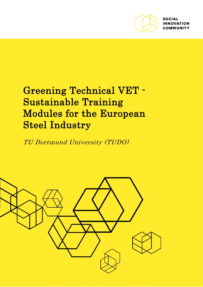

**SOCIAL INNOVATION** *AMIINITY* 

# Greening Technical VET - Sustainable Training Modules for the European Steel Industry

TU Dortmund University (TUDO)

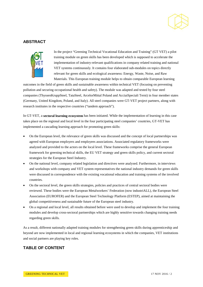# **ABSTRACT**



In the project "Greening Technical Vocational Education and Training" (GT VET) a pilot training module on green skills has been developed which is supposed to accelerate the implementation of industry-relevant qualifications in company related training and national VET systems continuously. It contains four elaborated sub-modules on topics directly relevant for green skills and ecological awareness: Energy, Waste, Noise, and Raw Materials. This European training module helps to obtain comparable European learning

outcomes in the field of green skills and sustainable awareness within technical VET (focusing on preventing pollution and securing occupational health and safety). The module was adapted and tested by four steel companies (ThyssenKruppSteel, TataSteel, ArcelorMittal Poland and AcciaiSpeciali Terni) in four member states (Germany, United Kingdom, Poland, and Italy). All steel companies were GT-VET project partners, along with research institutes in the respective countries ("tandem approach").

In GT-VET, a **sectoral learning ecosystem** has been initiated. While the implementation of learning in this case takes place on the regional and local level in the four participating steel companies' countries, GT-VET has implemented a cascading learning approach for promoting green skills:

- On the European level, the relevance of green skills was discussed and the concept of local partnerships was agreed with European employers and employees associations. Associated regulatory frameworks were analyzed and provided to the actors on the local level. These frameworks comprise the general European framework for greening technical skills, the EU VET strategy and green skills policy, and current sectoral strategies for the European Steel Industry.
- On the national level, company related legislation and directives were analysed. Furthermore, in interviews and workshops with company and VET system representatives the national industry demands for green skills were discussed in correspondence with the existing vocational education and training systems of the involved countries.
- On the sectoral level, the green skills strategies, policies and practices of central sectoral bodies were reviewed. These bodies were the European Metalworkers' Federation (now industriALL), the European Steel Association (EUROFER) and the European Steel Technology Platform (ESTEP), aimed at maintaining the global competitiveness and sustainable future of the European steel industry.
- On a regional and local level, all results obtained before were used to develop and implement the four training modules and develop cross-sectoral partnerships which are highly sensitive towards changing training needs regarding green skills.

As a result, different nationally adapted training modules for strengthening green skills during apprenticeship and beyond are now implemented in local and regional learning ecosystems in which the companies, VET institutions and social partners are playing key roles.

# **TABLE OF CONTENT**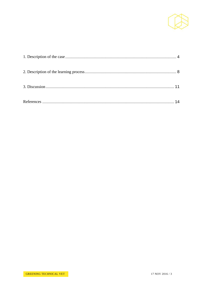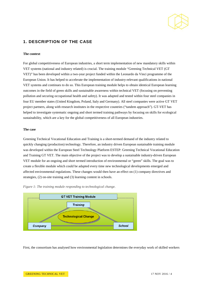

# **1. DESCRIPTION OF THE CASE**

### <span id="page-3-0"></span>**The context**

For global competitiveness of European industries, a short term implementation of new mandatory skills within VET systems (national and industry related) is crucial. The training module "Greening Technical VET (GT VET)" has been developed within a two-year project funded within the Leonardo da Vinci programme of the European Union. It has helped to accelerate the implementation of industry-relevant qualifications in national VET systems and continues to do so. This European training module helps to obtain identical European learning outcomes in the field of green skills and sustainable awareness within technical VET (focusing on preventing pollution and securing occupational health and safety). It was adapted and tested within four steel companies in four EU member states (United Kingdom, Poland, Italy and Germany). All steel companies were active GT VET project partners, along with research institutes in the respective countries ("tandem approach"). GT-VET has helped to investigate systematic ongoing and short termed training pathways by focusing on skills for ecological sustainability, which are a key for the global competitiveness of all European industries.

#### **The case**

Greening Technical Vocational Education and Training is a short-termed demand of the industry related to quickly changing (production) technology. Therefore, an industry driven European sustainable training module was developed within the European Steel Technology Platform ESTEP: Greening Technical Vocational Education and Training GT VET. The main objective of the project was to develop a sustainable industry-driven European VET module for an ongoing and short termed introduction of environmental or "green" skills. The goal was to create a flexible module which could be adapted every time new technological developments emerged and affected environmental regulations. These changes would then have an effect on (1) company directives and strategies, (2) on-site training and (3) learning content in schools.





First, the consortium has analysed how environmental legislation determines the everyday work of skilled workers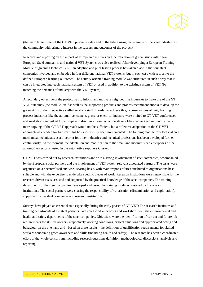

(the main target users of the GT VET product) today and in the future using the example of the steel industry (as the community with primary interest in the success and outcomes of the project).

Research and reporting on the impact of European directives and the reflection of green issues within four European Steel companies and national VET Systems was also realised. After developing a European Training Module of greening technical VET, an adaption and pilot testing process has taken place in the four steel companies involved and embedded in four different national VET systems, but in each case with respect to the defined European learning outcomes. The activity oriented training module was structured in such a way that it can be integrated into each national system of VET or used in addition to the existing system of VET (by matching the demands of industry with the VET system).

A secondary objective of the project was to inform and motivate neighbouring industries to make use of the GT VET outcomes (the module itself as well as the supporting products and process recommendations) to develop the green skills of their respective skilled workers staff. In order to achieve this, representatives of neighbouring process industries like the automotive, cement, glass, or chemical industry were invited to GT-VET conferences and workshops and asked to participate in discussion fora. What the stakeholders had to keep in mind is that a mere copying of the GT-VET approach would not be sufficient, but a reflective adaptation of the GT-VET approach was needed for transfer. This has successfully been implemented: The training module for electrical and mechanical technicians as a blueprint for other industries and technical professions has been developed further continuously. At the moment, the adaptation and modification to the small and medium sized enterprises of the automotive sector is tested in the automotive suppliers Cluster.

GT-VET was carried out by research institutions and with a strong involvement of steel companies, accompanied by the European social partners and the involvement of VET system relevant associated partners. The tasks were organised on a decentralised and work sharing basis, with main responsibilities attributed to organisations best suitable and with the expertise to undertake specific pieces of work. Research institutions were responsible for the research driven tasks, assisted and supported by the practical knowledge of the steel companies. The training departments of the steel companies developed and tested the training modules, assisted by the research institutions. The social partners were sharing the responsibility of valorisation (dissemination and exploitation), supported by the steel companies and research institutions.

Surveys have played an essential role especially during the early phases of GT-VET: The research institutes and training departments of the steel partners have conducted interviews and workshops with the environmental and health and safety departments of the steel companies. Objectives were the identification of current and future job requirements for skilled workers, respectively working conditions, critical situations and appropriated acting and behaviour on the one hand and - based on these results - the definition of qualification requirements for skilled workers concerning green awareness and skills (including health and safety). The research has been a coordinated effort of the whole consortium, including research questions definition, methodological discussions, analysis and reporting.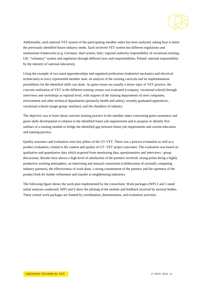

Additionally, each national VET system of the participating member states has been analysed, asking how it meets the previously identified future industry needs. Each involved VET system has different regulations and institutional frameworks (e.g. Germany: dual system, Italy: regional authority responsibility of vocational training, UK: "voluntary" system and regulation through different laws and responsibilities, Poland: national responsibility by the ministry of national education).

Using the example of two main apprenticeships and regulated professions (industrial mechanics and electrical technicians) in every represented member state, an analysis of the existing curricula and its implementation possibilities for the identified skills was done. As green issues are usually a minor topic of VET practice, the concrete realization of VET in the different training venues was evaluated (company, vocational school) through interviews and workshops at regional level, with support of the training departments of steel companies, environment and other technical departments (primarily health and safety), recently graduated apprentices, vocational schools (target group: teachers), and the chambers of industry.

The objective was to learn about concrete training practice in the member states concerning green awareness and green skills development in relation to the identified future job requirements and to propose or identify first outlines of a training module to bridge the identified gap between future job requirements and current education and training practice.

Quality assurance and evaluation were key pillars of the GT-VET. There was a process evaluation as well as a product evaluation, related to the content and quality of GT- VET project outcomes. The evaluation was based on qualitative and quantitative data which acquired from monitoring data, questionnaires and interviews / group discussions. Results have shown a high level of satisfaction of the partners involved, strong points being a highly productive working atmosphere, an interesting and unusual consortium (collaboration of normally competing industry partners), the effectiveness of work done, a strong commitment of the partners and the openness of the product both for further refinement and transfer to neighbouring industries.

The following figure shows the work plan implemented by the consortium. Work packages (WP) 2 and 3 stand initial analyses conducted, WP5 and 6 show the piloting of the module and feedback received by sectoral bodies. These central work packages are framed by coordination, dissemination, and evaluation activities.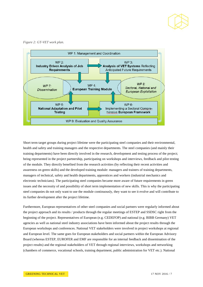

*Figure 2: GT-VET work plan.*



Short term target groups during project lifetime were the participating steel companies and their environmental, health and safety and training managers and the respective departments. The steel companies (and mainly their training departments) have been directly involved in the research, development and testing process of the project; being represented in the project partnership, participating on workshops and interviews, feedback and pilot testing of the module. They directly benefited from the research activities (by reflecting their recent activities and awareness on green skills) and the developed training module: managers and trainers of training departments, managers of technical, safety and health departments, apprentices and workers (industrial mechanics and electronic technicians). The participating steel companies became more aware of future requirements in green issues and the necessity of and possibility of short term implementation of new skills. This is why the participating steel companies do not only want to use the module continuously, they want to see it evolve and will contribute to its further development after the project lifetime.

Furthermore, European representatives of other steel companies and social partners were regularly informed about the project approach and its results / products through the regular meetings of ESTEP and SSDSC right from the beginning of the project. Representatives of European (e.g. CEDEFOP) and national (e.g. BIBB Germany) VET agencies as well as national steel industry associations have been informed about the project results through the European workshops and conferences. National VET stakeholders were involved in project workshops at regional and European level. The same goes for European stakeholders and social partners within the European Advisory Board (whereas ESTEP, EUROFER and EMF are responsible for an internal feedback and dissemination of the project results) and the regional stakeholders of VET through regional interviews, workshops and networking (chambers of commerce, vocational schools, training department, public administration for VET etc.). National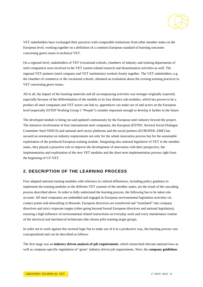

VET stakeholders have exchanged their practices with comparable institutions from other member states on the European level, working together on a definition of a common European standard of learning outcomes concerning green issues in technical VET.

On a regional level, stakeholders of VET (vocational schools, chambers of industry and training departments of steel companies) were involved in the VET system related research and dissemination activities as well. The regional VET partners (steel company and VET institutions) worked closely together. The VET stakeholders, e.g. the chamber of commerce or the vocational schools, obtained an evaluation about the existing training practices in VET concerning green issues.

All in all, the impact of the learning materials and all accompanying activities was stronger originally expected, especially because of the differentiation of the module in its four distinct sub-modules, which has proven to be a product all steel companies and VET actors can link to, apprentices can make use of and actors on the European level (especially ESTEP Working Group 5 "People") consider important enough to develop it further in the future.

The developed module is being run and updated continuously by the European steel industry beyond the project. The intensive involvement of four international steel companies, the European (ESTEP, Sectoral Social Dialogue Committee Steel SSDCS) and national steel sector platforms and the social partners (EUROFER, EMF) has secured an orientation on industry requirements not only for the whole innovation process but for the sustainable exploitation of the produced European training module. Integrating also national legislative of VET in the member states, they played a proactive role to improve the development of innovation with their perspective, the implementation and exploitation of the new VET modules and the short term implementation process right from the beginning of GT-VET.

# <span id="page-7-0"></span>**2. DESCRIPTION OF THE LEARNING PROCESS**

Four adapted national training modules with reference to cultural differences, including policy guidance to implement the training modules in the different VET systems of the member states, are the result of the cascading process described above. In order to fully understand the learning process, the following has to be taken into account: All steel companies are embedded and engaged in European environmental legislation activities via contact points and networking in Brussels. European directives are transferred and "translated" into company directives and strict corporate targets (often going beyond formal European directives and national legislation), ensuring a high influence of environmental related instructions on everyday work and every maintenance routine of the electrical and mechanical technicians (the chosen pilot training target group).

In order not to work against this sectoral logic but to make use of it in a productive way, the learning process was conceptualized and can be described as follows:

The first stage was an **industry driven analysis of job requirements**, which researched relevant national laws as well as company-specific regulations of 'green' industry driven job requirements. Next, the **company guidelines**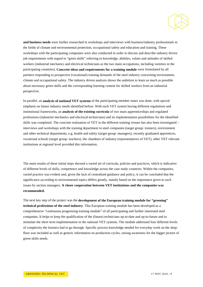

**and business needs** were further researched in workshops and interviews with business/industry professionals in the fields of climate and environmental protection, occupational safety and education and training. These workshops with the participating companies were also conducted in order to discuss and describe industry driven job requirements with regard to "green skills" referring to knowledge, abilities, values and attitudes of skilled workers (industrial mechanics and electrical technicians as the two main occupations, including varieties in the participating countries). **Concrete ideas and requirements for a training module** were formulated by all partners responding to prospective (vocational) training demands of the steel industry concerning environment, climate and occupational safety. The industry driven analysis shows the ambition to learn as much as possible about necessary green skills and the corresponding learning content for skilled workers from an industrial perspective.

In parallel, an **analysis of national VET systems** of the participating member states was done, with special emphasis on future industry needs identified before. With each VET system having different regulations and institutional frameworks, an **analysis of the existing curricula** of two main apprenticeships and regulated professions (industrial mechanics and electrical technicians) and its implementation possibilities for the identified skills was completed. The concrete realization of VET in the different training venues has also been investigated – interviews and workshops with the training department in steel companies (target group: trainers), environment and other technical departments, e.g. health and safety (target group: managers), recently graduated apprentices, vocational schools (target group: teachers), the chambers of industry (representatives of VET), other VET relevant institutions at regional level provided this information.

The main results of these initial steps showed a varied set of curricula, policies and practices, which is indicative of different levels of skills, competence and knowledge across the case study countries. Within the companies, varied practice was evident and, given the lack of centralised guidance and policy, it can be concluded that the significance according to environmental topics differs greatly, mainly based on the importance given to such issues by section managers. **A closer cooperation between VET institutions and the companies was recommended.**

The next key step of the project was the **development of the European training module for "greening" technical professions of the steel industry**. This European training module has been developed as a comprehensive "continuous progressing training module" of all participating and further interested steel companies. It helps to keep the qualification of the (future) technicians up-to-date and up-to-future and to stimulate the short term implementation in the national VET systems. The module addressed four different levels of complexity the learners had to go through. Specific process knowledge needed for everyday work on the shopfloor was included as well as generic information on production cycles, raising awareness for the bigger picture of green skills needs.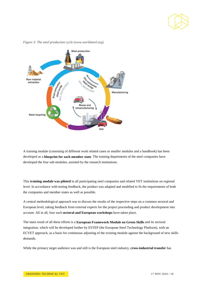



*Figure 3: The steel production cycle (www.worldsteel.org).*

A training module (consisting of different work related cases or smaller modules and a handbook) has been developed as a **blueprint for each member state**. The training departments of the steel companies have developed the four sub-modules, assisted by the research institutions.

This **training module was piloted** in all participating steel companies and related VET institutions on regional level. In accordance with testing feedback, the product was adapted and modified to fit the requirements of both the companies and member states as well as possible.

A central methodological approach was to discuss the results of the respective steps on a common sectoral and European level, taking feedback from external experts for the project proceeding and product development into account. All in all, four such **sectoral and European workshops** have taken place.

The main result of all these efforts is a **European Framework Module on Green Skills** and its sectoral integration, which will be developed further by ESTEP (the European Steel Technology Platform), with an ECVET approach, as a basis for continuous adjusting of the existing module against the background of new skills demands.

While the primary target audience was and still is the European steel industry, **cross-industrial transfer** has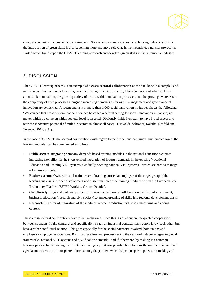

always been part of the envisioned learning loop. So a secondary audience are neighbouring industries in which the introduction of green skills is also becoming more and more relevant. In the meantime, a transfer project has started which builds upon the GT-VET learning approach and develops green skills in the automotive industry.

## <span id="page-10-0"></span>**3. DISCUSSION**

The GT-VET learning process is an example of a **cross-sectoral collaboration** as the backbone in a complex and multi-layered innovation and learning process. Insofar, it is a typical case, taking into account what we know about social innovation, the growing variety of actors within innovation processes, and the growing awareness of the complexity of such processes alongside increasing demands as far as the management and governance of innovation are concerned. A recent analysis of more than 1.000 social innovation initiatives shows the following: "We can see that cross-sectoral cooperation can be called a default setting for social innovation initiatives, no matter which outcome on which societal level is targeted. Obviously, initiatives want to have broad access and reap the innovative potential of multiple sectors in almost all cases." (Howaldt, Schröder, Kaletka, Rehfeld and Terstriep 2016, p.51).

In the case of GT-VET, the sectoral contributions with regard to the further and continuous implementation of the learning modules can be summarized as follows:

- **Public sector:** Integrating company demands based training modules in the national education systems; increasing flexibility for the short-termed integration of industry demands in the existing Vocational Education and Training VET systems; Gradually opening national VET systems – which are hard to manage – for new curricula.
- **Business sector:** Ownership and main driver of training curricula; employer of the target group of the learning materials; further development and dissemination of the training modules within the European Steel Technology Platform ESTEP Working Group "People".
- **Civil Society:** Regional dialogue partner on environmental issues (collaboration platform of government, business, education / research and civil society) to embed greening of skills into regional development plans.
- **Research:** Transfer of innovation of the modules to other production industries, modifying and adding content.

These cross-sectoral contributions have to be emphasized, since this is not about an unexpected cooperation between strangers. In the contrary, and specifically in such an industrial context, many actors know each other, but have a rather conflictual relation. This goes especially for the **social partners** involved, both unions and employers / employer associations. By initiating a learning process during the very early stages – regarding legal frameworks, national VET systems and qualification demands - and, furthermore, by making it a common learning process by discussing the results in mixed groups, it was possible both to draw the outline of a common agenda and to create an atmosphere of trust among the partners which helped to speed up decision-making and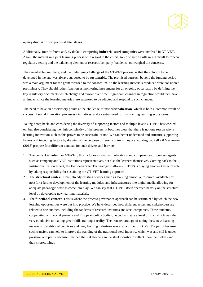

openly discuss critical points at later stages.

Additionally, four different and, by default, **competing industrial steel companies** were involved in GT-VET. Again, the interest in a joint learning process with regard to the crucial topic of green skills in a difficult European regulatory setting and the balancing element of research/company "tandems" outweighed the concerns.

The remarkable point here, and the underlying challenge of the GT-VET process, is that the solution to be developed in the end was always supposed to be **sustainable**. The promised outreach beyond the funding period was a main argument for the grant awarded to the consortium. So the learning materials produced were considered preliminary: They should rather function as monitoring instruments for an ongoing observatory by defining the key regulatory documents which change and evolve over time. Significant changes in regulation would then have an impact since the learning materials are supposed to be adapted and respond to such changes.

The need to have an observatory points at the challenge of **institutionalization**, which is both a common result of successful social innovation processes / initiatives, and a central need for maintaining learning ecosystems.

Taking a step back, and considering the diversity of supporting factors and multiple levels GT-VET has worked on, but also considering the high complexity of the process, it becomes clear that there is not one reason why a learning innovation such as this proves to be successful or not. We can better understand and structure supporting factors and impeding factors by drawing a line between different contexts they are working on. Pelka &Markmann (2015) propose four different contexts for such drivers and barriers:

- 1. The **context of roles**. For GT-VET, this includes individual motivations and competences of process agents such as company and VET institutions representatives, but also the learners themselves. Coming back to the institutionalization aspect, the European Steel Technology Platform (ESTEP) is playing another key actor role by taking responsibility for sustaining the GT-VET learning approach.
- 2. The **structural context**: Here, already existing services such as learning curricula, resources available (or not) for a further development of the learning modules, and infrastructures like digital media allowing for adequate pedagogic settings come into play. We can say that GT-VET itself operated heavily on the structural level by developing new learning materials.
- 3. The **functional context**: This is where the process governance approach can be scrutinized by which the new learning opportunities were put into practice. We have described how different actors and stakeholders are related to one another, including the tandems of research institutes and steel companies. These tandems, cooperating with social partners and European policy bodies, helped to create a level of trust which was also very conducive to making green skills training a reality. The transfer strategy of taking these new learning materials to additional countries and neighbouring industries was also a driver of GT-VET – partly because such transfers can help to improve the standing of the traditional steel industry, which was and still is under pressure, and partly because it helped the stakeholders in the steel industry to reflect upon themselves and their shortcomings.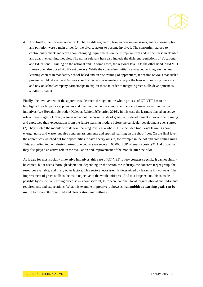

4. And finally, the **normative context:** The volatile regulatory frameworks on emissions, energy consumption and pollution were a main driver for the diverse actors to become involved. The consortium agreed to continuously check and learn about changing requirements on the European level and reflect these in flexible and adaptive learning modules. The norms relevant here also include the different regulations of Vocational and Educational Training on the national and, in some cases, the regional level. On the other hand, rigid VET frameworks also posed significant barriers: While the consortium initially envisaged to integrate the new learning content in mandatory school-based and on-site training of apprentices, it became obvious that such a process would take at least 4-5 years, so the decision was made to analyse the leeway of existing curricula and rely on school/company partnerships to exploit those in order to integrate green skills development as ancillary content.

Finally, the involvement of the apprentices / learners throughout the whole process of GT-VET has to be highlighted. Participatory approaches and user involvement are important factors of many social innovation initiatives (see Howaldt, Schröder, Kaletka, Rehfeld&Terstriep 2016). In this case the learners played an active role at three stages: (1) They were asked about the current state of green skills development in vocational training and expressed their expectations from the future learning module before the curricular development even started. (2) They piloted the module with its four learning levels as a whole. This included traditional learning about energy, noise and waste, but also concrete assignments and applied learning on the shop-floor. On the final level, the apprentices watched out for opportunities to save energy on site, for example in the hot and cold rolling mills. This, according to the industry partners, helped to save several 100.000 EUR of energy costs. (3) And of course, they also played an active role in the evaluation and improvement of the module after the pilot.

As is true for most socially innovative initiatives, this case of GT-VET is very **context-specific**. It cannot simply be copied, but it needs thorough adaptation, depending on the sector, the industry, the concrete target group, the resources available, and many other factors. This sectoral ecosystem is determined by learning in two ways: The improvement of green skills is the main objective of the whole initiative. And to a large extent, this is made possible by collective learning processes – about sectoral, European, national, local, organisational and individual requirements and expectations. What this example impressively shows is that **ambitious learning goals can be met** in transparently organized and clearly structured settings.